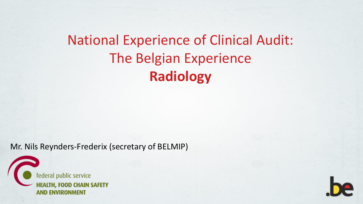### National Experience of Clinical Audit: The Belgian Experience **Radiology**

Mr. Nils Reynders-Frederix (secretary of BELMIP)

ederal public service **HEALTH, FOOD CHAIN SAFETY AND ENVIRONMENT** 

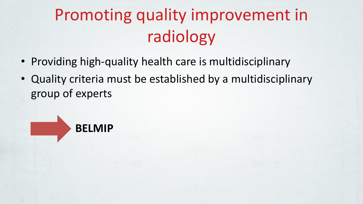# Promoting quality improvement in radiology

- Providing high-quality health care is multidisciplinary
- Quality criteria must be established by a multidisciplinary group of experts

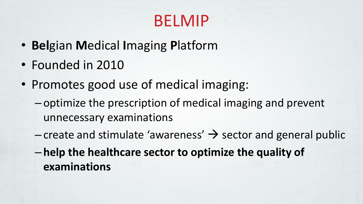## BELMIP

- **Bel**gian **M**edical **I**maging **P**latform
- Founded in 2010
- Promotes good use of medical imaging:
	- optimize the prescription of medical imaging and prevent unnecessary examinations
	- create and stimulate 'awareness'  $\rightarrow$  sector and general public
	- **help the healthcare sector to optimize the quality of examinations**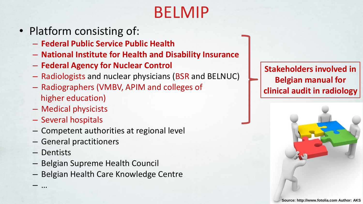# BELMIP

- Platform consisting of:
	- **Federal Public Service Public Health**
	- **National Institute for Health and Disability Insurance**
	- **Federal Agency for Nuclear Control**
	- Radiologists and nuclear physicians (BSR and BELNUC)
	- Radiographers (VMBV, APIM and colleges of higher education)
	- Medical physicists
	- Several hospitals
	- Competent authorities at regional level
	- General practitioners
	- Dentists

– …

- Belgian Supreme Health Council
- Belgian Health Care Knowledge Centre

**Stakeholders involved in Belgian manual for clinical audit in radiology**

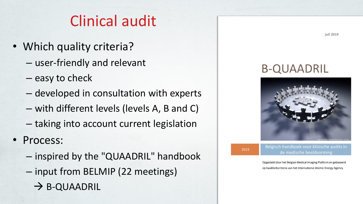#### Clinical audit

- Which quality criteria?
	- user-friendly and relevant
	- easy to check
	- developed in consultation with experts
	- with different levels (levels A, B and C)
	- taking into account current legislation
- Process:
	- inspired by the "QUAADRIL" handbook
	- input from BELMIP (22 meetings)
		- $\rightarrow$  B-QUAADRIL

#### **B-QUAADRIL**



2019

Belgisch handboek voor klinische audits in de medische beeldvorming

Opgesteld door het Belgian Medical Imaging Platform en gebaseerd op kwaliteitscriteria van het International Atomic Energy Agency.

juli 2019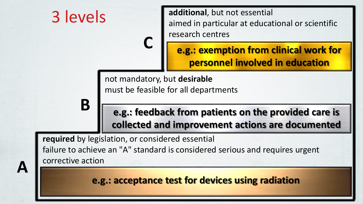

**required** by legislation, or considered essential failure to achieve an "A" standard is considered serious and requires urgent corrective action

**A**

**e.g.: acceptance test for devices using radiation**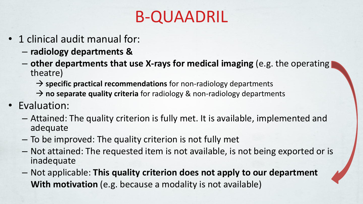# B-QUAADRIL

- 1 clinical audit manual for:
	- **radiology departments &**
	- **other departments that use X-rays for medical imaging** (e.g. the operating theatre)
		- → **specific practical recommendations** for non-radiology departments
		- → **no separate quality criteria** for radiology & non-radiology departments
- Evaluation:
	- Attained: The quality criterion is fully met. It is available, implemented and adequate
	- To be improved: The quality criterion is not fully met
	- Not attained: The requested item is not available, is not being exported or is inadequate
	- Not applicable: **This quality criterion does not apply to our department With motivation** (e.g. because a modality is not available)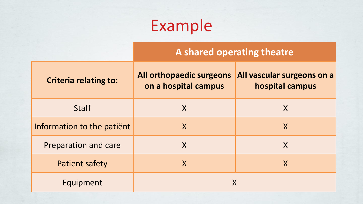# Example

#### **A shared operating theatre**

| <b>Criteria relating to:</b> | All orthopaedic surgeons<br>on a hospital campus | All vascular surgeons on a<br>hospital campus |
|------------------------------|--------------------------------------------------|-----------------------------------------------|
| <b>Staff</b>                 | X                                                | X                                             |
| Information to the patient   | X                                                | X                                             |
| Preparation and care         | X                                                | X                                             |
| <b>Patient safety</b>        | X                                                |                                               |
| Equipment                    |                                                  |                                               |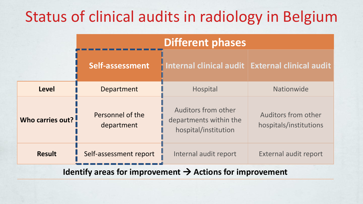#### Status of clinical audits in radiology in Belgium

|                                                                         | <b>Different phases</b>        |                                                                              |                                                      |
|-------------------------------------------------------------------------|--------------------------------|------------------------------------------------------------------------------|------------------------------------------------------|
|                                                                         | Self-assessment                |                                                                              | Internal clinical audit   External clinical audit    |
| <b>Level</b>                                                            | Department                     | Hospital                                                                     | Nationwide                                           |
| Who carries out?                                                        | Personnel of the<br>department | <b>Auditors from other</b><br>departments within the<br>hospital/institution | <b>Auditors from other</b><br>hospitals/institutions |
| <b>Result</b>                                                           | Self-assessment report         | Internal audit report                                                        | <b>External audit report</b>                         |
| $Id$ ontify aroas for improvement $\rightarrow$ Actions for improvement |                                |                                                                              |                                                      |

**Identify areas for improvement** → **Actions for improvement**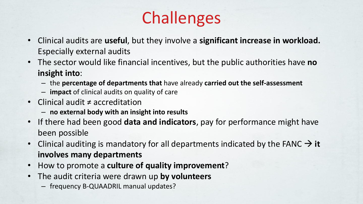# Challenges

- Clinical audits are **useful**, but they involve a **significant increase in workload.**  Especially external audits
- The sector would like financial incentives, but the public authorities have **no insight into**:
	- the **percentage of departments that** have already **carried out the self-assessment**
	- **impact** of clinical audits on quality of care
- Clinical audit ≠ accreditation
	- **no external body with an insight into results**
- If there had been good **data and indicators**, pay for performance might have been possible
- Clinical auditing is mandatory for all departments indicated by the FANC → **it involves many departments**
- How to promote a **culture of quality improvement**?
- The audit criteria were drawn up **by volunteers**
	- frequency B-QUAADRIL manual updates?